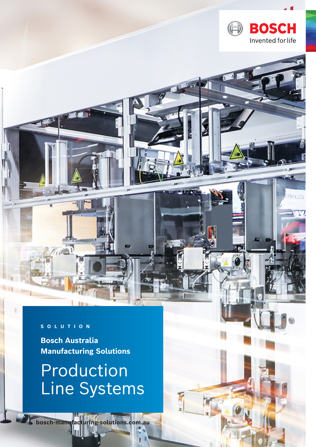

## Production Line Systems

**bosch-manufacturing-solutions.com.au**